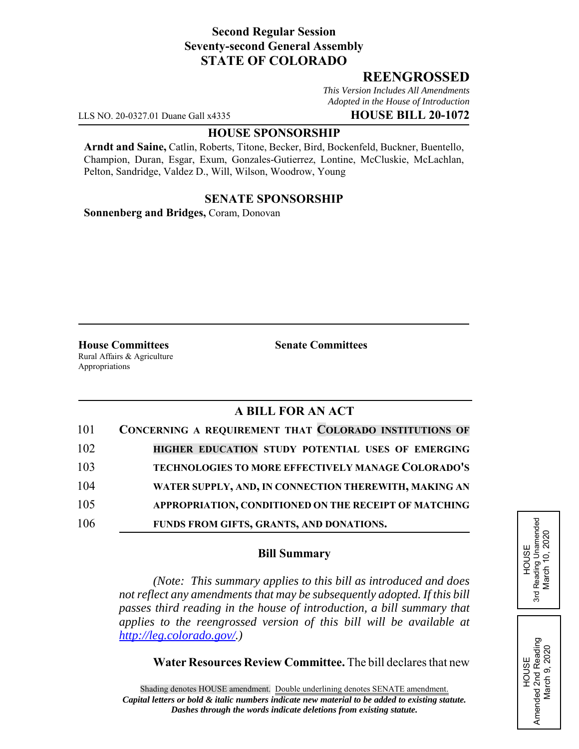# **Second Regular Session Seventy-second General Assembly STATE OF COLORADO**

# **REENGROSSED**

*This Version Includes All Amendments Adopted in the House of Introduction*

LLS NO. 20-0327.01 Duane Gall x4335 **HOUSE BILL 20-1072**

#### **HOUSE SPONSORSHIP**

**Arndt and Saine,** Catlin, Roberts, Titone, Becker, Bird, Bockenfeld, Buckner, Buentello, Champion, Duran, Esgar, Exum, Gonzales-Gutierrez, Lontine, McCluskie, McLachlan, Pelton, Sandridge, Valdez D., Will, Wilson, Woodrow, Young

## **SENATE SPONSORSHIP**

**Sonnenberg and Bridges,** Coram, Donovan

**House Committees Senate Committees** Rural Affairs & Agriculture Appropriations

# **A BILL FOR AN ACT**

| 101 | CONCERNING A REQUIREMENT THAT COLORADO INSTITUTIONS OF |
|-----|--------------------------------------------------------|
| 102 | HIGHER EDUCATION STUDY POTENTIAL USES OF EMERGING      |
| 103 | TECHNOLOGIES TO MORE EFFECTIVELY MANAGE COLORADO'S     |
| 104 | WATER SUPPLY, AND, IN CONNECTION THEREWITH, MAKING AN  |
| 105 | APPROPRIATION, CONDITIONED ON THE RECEIPT OF MATCHING  |
| 106 | FUNDS FROM GIFTS, GRANTS, AND DONATIONS.               |

## **Bill Summary**

*(Note: This summary applies to this bill as introduced and does not reflect any amendments that may be subsequently adopted. If this bill passes third reading in the house of introduction, a bill summary that applies to the reengrossed version of this bill will be available at http://leg.colorado.gov/.)*

**Water Resources Review Committee.** The bill declares that new

Reading Unamended 3rd Reading Unamended March 10, 2020 March 10, 2020 HOUSE 3rd

HOUSE Amended 2nd Reading March 9, 2020

Amended 2nd Reading<br>March 9, 2020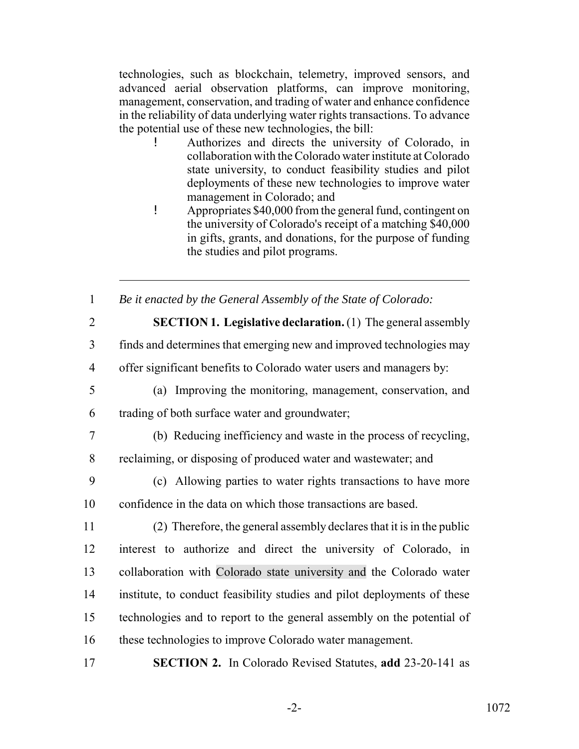technologies, such as blockchain, telemetry, improved sensors, and advanced aerial observation platforms, can improve monitoring, management, conservation, and trading of water and enhance confidence in the reliability of data underlying water rights transactions. To advance the potential use of these new technologies, the bill:

- ! Authorizes and directs the university of Colorado, in collaboration with the Colorado water institute at Colorado state university, to conduct feasibility studies and pilot deployments of these new technologies to improve water management in Colorado; and
- ! Appropriates \$40,000 from the general fund, contingent on the university of Colorado's receipt of a matching \$40,000 in gifts, grants, and donations, for the purpose of funding the studies and pilot programs.

1 *Be it enacted by the General Assembly of the State of Colorado:*

2 **SECTION 1. Legislative declaration.** (1) The general assembly

3 finds and determines that emerging new and improved technologies may

4 offer significant benefits to Colorado water users and managers by:

5 (a) Improving the monitoring, management, conservation, and

6 trading of both surface water and groundwater;

7 (b) Reducing inefficiency and waste in the process of recycling,

8 reclaiming, or disposing of produced water and wastewater; and

9 (c) Allowing parties to water rights transactions to have more 10 confidence in the data on which those transactions are based.

 (2) Therefore, the general assembly declares that it is in the public interest to authorize and direct the university of Colorado, in collaboration with Colorado state university and the Colorado water institute, to conduct feasibility studies and pilot deployments of these technologies and to report to the general assembly on the potential of these technologies to improve Colorado water management.

17 **SECTION 2.** In Colorado Revised Statutes, **add** 23-20-141 as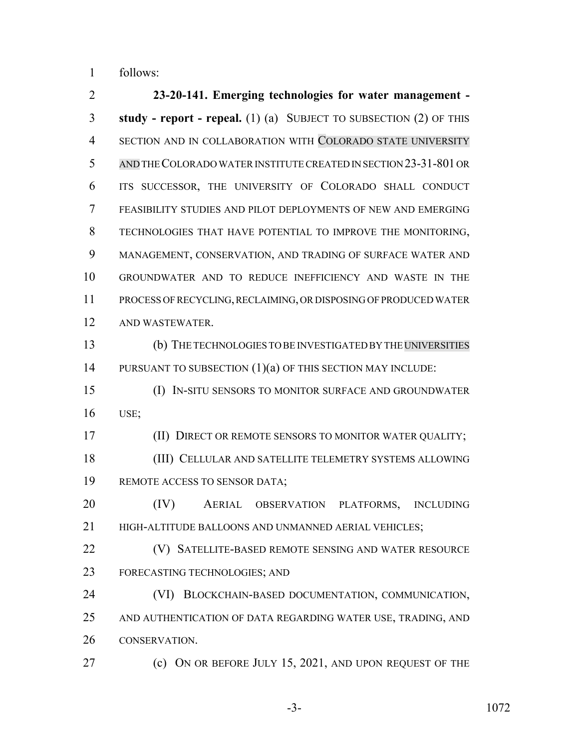follows:

 **23-20-141. Emerging technologies for water management - study - report - repeal.** (1) (a) SUBJECT TO SUBSECTION (2) OF THIS 4 SECTION AND IN COLLABORATION WITH COLORADO STATE UNIVERSITY AND THE COLORADO WATER INSTITUTE CREATED IN SECTION 23-31-801 OR ITS SUCCESSOR, THE UNIVERSITY OF COLORADO SHALL CONDUCT FEASIBILITY STUDIES AND PILOT DEPLOYMENTS OF NEW AND EMERGING TECHNOLOGIES THAT HAVE POTENTIAL TO IMPROVE THE MONITORING, MANAGEMENT, CONSERVATION, AND TRADING OF SURFACE WATER AND GROUNDWATER AND TO REDUCE INEFFICIENCY AND WASTE IN THE PROCESS OF RECYCLING, RECLAIMING, OR DISPOSING OF PRODUCED WATER AND WASTEWATER. (b) THE TECHNOLOGIES TO BE INVESTIGATED BY THE UNIVERSITIES 14 PURSUANT TO SUBSECTION (1)(a) OF THIS SECTION MAY INCLUDE: (I) IN-SITU SENSORS TO MONITOR SURFACE AND GROUNDWATER USE; **(II) DIRECT OR REMOTE SENSORS TO MONITOR WATER QUALITY;**  (III) CELLULAR AND SATELLITE TELEMETRY SYSTEMS ALLOWING REMOTE ACCESS TO SENSOR DATA; (IV) AERIAL OBSERVATION PLATFORMS, INCLUDING 21 HIGH-ALTITUDE BALLOONS AND UNMANNED AERIAL VEHICLES; (V) SATELLITE-BASED REMOTE SENSING AND WATER RESOURCE FORECASTING TECHNOLOGIES; AND (VI) BLOCKCHAIN-BASED DOCUMENTATION, COMMUNICATION, AND AUTHENTICATION OF DATA REGARDING WATER USE, TRADING, AND CONSERVATION. **(c)** ON OR BEFORE JULY 15, 2021, AND UPON REQUEST OF THE

-3- 1072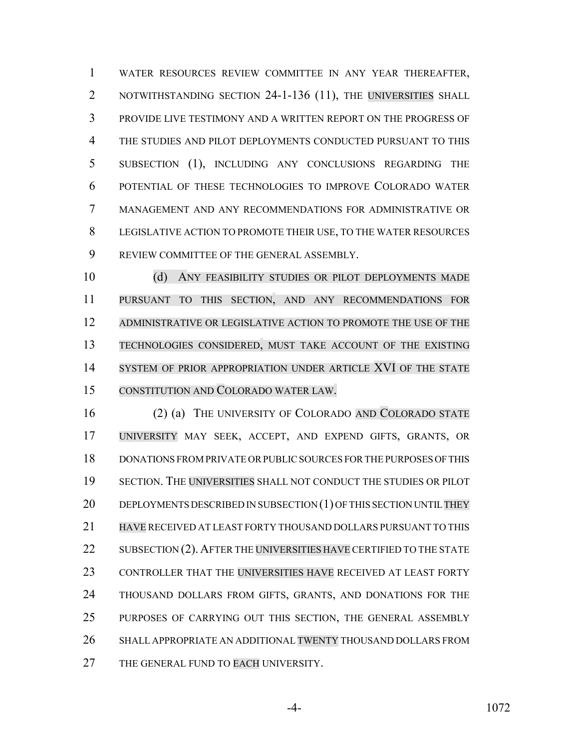WATER RESOURCES REVIEW COMMITTEE IN ANY YEAR THEREAFTER, 2 NOTWITHSTANDING SECTION 24-1-136 (11), THE UNIVERSITIES SHALL PROVIDE LIVE TESTIMONY AND A WRITTEN REPORT ON THE PROGRESS OF THE STUDIES AND PILOT DEPLOYMENTS CONDUCTED PURSUANT TO THIS SUBSECTION (1), INCLUDING ANY CONCLUSIONS REGARDING THE POTENTIAL OF THESE TECHNOLOGIES TO IMPROVE COLORADO WATER MANAGEMENT AND ANY RECOMMENDATIONS FOR ADMINISTRATIVE OR LEGISLATIVE ACTION TO PROMOTE THEIR USE, TO THE WATER RESOURCES REVIEW COMMITTEE OF THE GENERAL ASSEMBLY.

 (d) ANY FEASIBILITY STUDIES OR PILOT DEPLOYMENTS MADE PURSUANT TO THIS SECTION, AND ANY RECOMMENDATIONS FOR ADMINISTRATIVE OR LEGISLATIVE ACTION TO PROMOTE THE USE OF THE TECHNOLOGIES CONSIDERED, MUST TAKE ACCOUNT OF THE EXISTING SYSTEM OF PRIOR APPROPRIATION UNDER ARTICLE XVI OF THE STATE CONSTITUTION AND COLORADO WATER LAW.

 (2) (a) THE UNIVERSITY OF COLORADO AND COLORADO STATE UNIVERSITY MAY SEEK, ACCEPT, AND EXPEND GIFTS, GRANTS, OR DONATIONS FROM PRIVATE OR PUBLIC SOURCES FOR THE PURPOSES OF THIS SECTION. THE UNIVERSITIES SHALL NOT CONDUCT THE STUDIES OR PILOT 20 DEPLOYMENTS DESCRIBED IN SUBSECTION (1) OF THIS SECTION UNTIL THEY HAVE RECEIVED AT LEAST FORTY THOUSAND DOLLARS PURSUANT TO THIS 22 SUBSECTION (2). AFTER THE UNIVERSITIES HAVE CERTIFIED TO THE STATE CONTROLLER THAT THE UNIVERSITIES HAVE RECEIVED AT LEAST FORTY 24 THOUSAND DOLLARS FROM GIFTS, GRANTS, AND DONATIONS FOR THE 25 PURPOSES OF CARRYING OUT THIS SECTION, THE GENERAL ASSEMBLY SHALL APPROPRIATE AN ADDITIONAL TWENTY THOUSAND DOLLARS FROM 27 THE GENERAL FUND TO EACH UNIVERSITY.

-4- 1072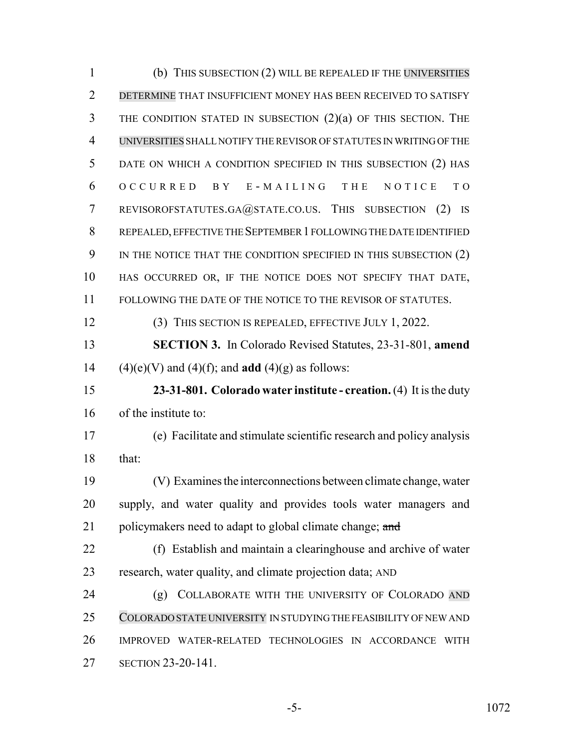(b) THIS SUBSECTION (2) WILL BE REPEALED IF THE UNIVERSITIES DETERMINE THAT INSUFFICIENT MONEY HAS BEEN RECEIVED TO SATISFY THE CONDITION STATED IN SUBSECTION (2)(a) OF THIS SECTION. THE UNIVERSITIES SHALL NOTIFY THE REVISOR OF STATUTES IN WRITING OF THE DATE ON WHICH A CONDITION SPECIFIED IN THIS SUBSECTION (2) HAS OCCURRED BY E - MAILING THE NOTICE TO REVISOROFSTATUTES.GA@STATE.CO.US. THIS SUBSECTION (2) IS REPEALED, EFFECTIVE THE SEPTEMBER 1 FOLLOWING THE DATE IDENTIFIED 9 IN THE NOTICE THAT THE CONDITION SPECIFIED IN THIS SUBSECTION (2) HAS OCCURRED OR, IF THE NOTICE DOES NOT SPECIFY THAT DATE, FOLLOWING THE DATE OF THE NOTICE TO THE REVISOR OF STATUTES. (3) THIS SECTION IS REPEALED, EFFECTIVE JULY 1, 2022. **SECTION 3.** In Colorado Revised Statutes, 23-31-801, **amend** 14 (4)(e)(V) and (4)(f); and **add** (4)(g) as follows: **23-31-801. Colorado water institute - creation.** (4) It is the duty of the institute to: (e) Facilitate and stimulate scientific research and policy analysis that: (V) Examines the interconnections between climate change, water supply, and water quality and provides tools water managers and 21 policymakers need to adapt to global climate change; and (f) Establish and maintain a clearinghouse and archive of water research, water quality, and climate projection data; AND 24 (g) COLLABORATE WITH THE UNIVERSITY OF COLORADO AND COLORADO STATE UNIVERSITY IN STUDYING THE FEASIBILITY OF NEW AND IMPROVED WATER-RELATED TECHNOLOGIES IN ACCORDANCE WITH SECTION 23-20-141.

-5- 1072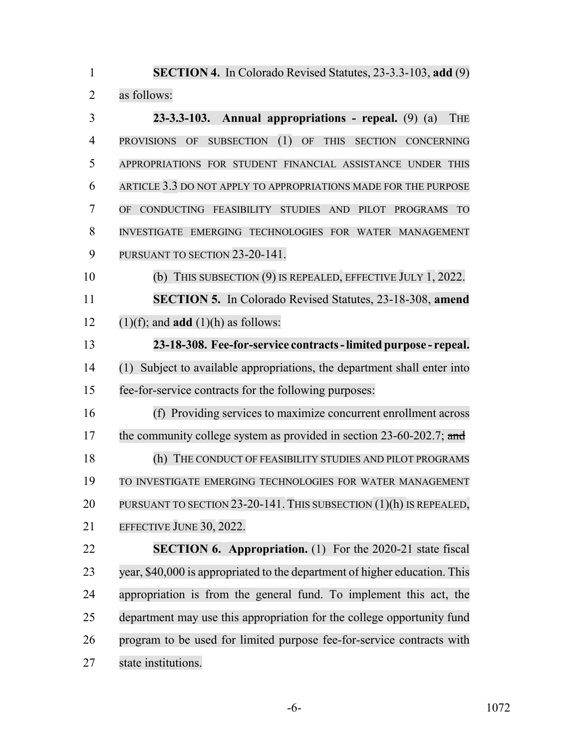| $\mathbf{1}$   | <b>SECTION 4.</b> In Colorado Revised Statutes, 23-3.3-103, add (9)                                   |
|----------------|-------------------------------------------------------------------------------------------------------|
| $\overline{2}$ | as follows:                                                                                           |
| 3              | $23-3.3-103$ . Annual appropriations - repeal. $(9)$ $(a)$<br><b>THE</b>                              |
| 4              | (1)<br>PROVISIONS OF<br><b>SUBSECTION</b><br>OF<br><b>THIS</b><br><b>SECTION</b><br><b>CONCERNING</b> |
| 5              | APPROPRIATIONS FOR STUDENT FINANCIAL ASSISTANCE UNDER THIS                                            |
| 6              | ARTICLE 3.3 DO NOT APPLY TO APPROPRIATIONS MADE FOR THE PURPOSE                                       |
| 7              | CONDUCTING FEASIBILITY<br><b>STUDIES</b><br><b>AND</b><br>PILOT PROGRAMS TO<br><b>OF</b>              |
| 8              | INVESTIGATE EMERGING TECHNOLOGIES FOR WATER MANAGEMENT                                                |
| 9              | PURSUANT TO SECTION 23-20-141.                                                                        |
| 10             | (b) THIS SUBSECTION (9) IS REPEALED, EFFECTIVE JULY 1, 2022.                                          |
| 11             | <b>SECTION 5.</b> In Colorado Revised Statutes, 23-18-308, amend                                      |
| 12             | $(1)(f)$ ; and <b>add</b> $(1)(h)$ as follows:                                                        |
| 13             | 23-18-308. Fee-for-service contracts - limited purpose - repeal.                                      |
| 14             | (1) Subject to available appropriations, the department shall enter into                              |
| 15             | fee-for-service contracts for the following purposes:                                                 |
| 16             | (f) Providing services to maximize concurrent enrollment across                                       |
| 17             | the community college system as provided in section $23-60-202.7$ ; and                               |
| 18             | (h) THE CONDUCT OF FEASIBILITY STUDIES AND PILOT PROGRAMS                                             |
| 19             | TO INVESTIGATE EMERGING TECHNOLOGIES FOR WATER MANAGEMENT                                             |
| 20             | PURSUANT TO SECTION 23-20-141. THIS SUBSECTION (1)(h) IS REPEALED,                                    |
| 21             | EFFECTIVE JUNE 30, 2022.                                                                              |
| 22             | <b>SECTION 6. Appropriation.</b> (1) For the 2020-21 state fiscal                                     |
| 23             | year, \$40,000 is appropriated to the department of higher education. This                            |
| 24             | appropriation is from the general fund. To implement this act, the                                    |
| 25             | department may use this appropriation for the college opportunity fund                                |
| 26             | program to be used for limited purpose fee-for-service contracts with                                 |
| 27             | state institutions.                                                                                   |